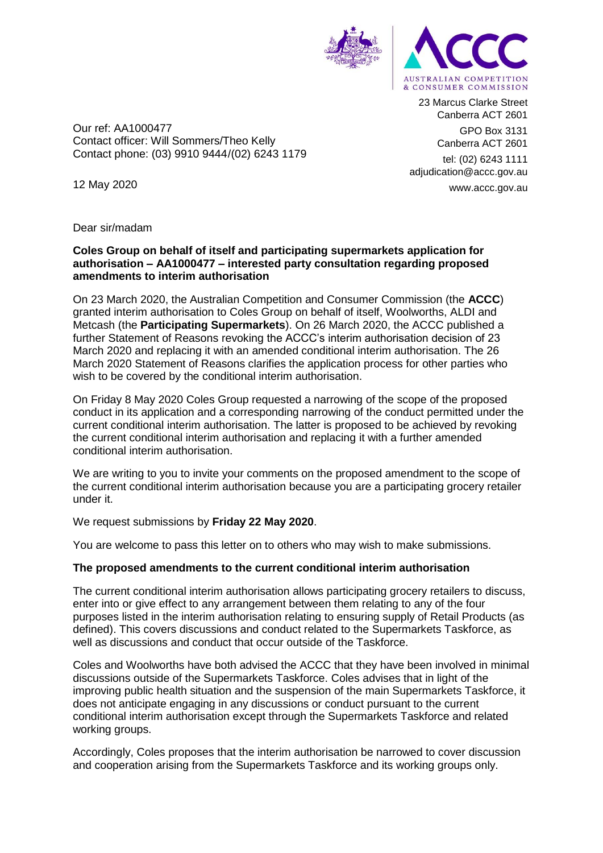

23 Marcus Clarke Street Canberra ACT 2601 GPO Box 3131

Canberra ACT 2601

tel: (02) 6243 1111 adjudication@accc.gov.au www.accc.gov.au

12 May 2020

Our ref: AA1000477

Contact officer: Will Sommers/Theo Kelly Contact phone: (03) 9910 9444/(02) 6243 1179

Dear sir/madam

**Coles Group on behalf of itself and participating supermarkets application for authorisation – AA1000477 – interested party consultation regarding proposed amendments to interim authorisation**

On 23 March 2020, the Australian Competition and Consumer Commission (the **ACCC**) granted interim authorisation to Coles Group on behalf of itself, Woolworths, ALDI and Metcash (the **Participating Supermarkets**). On 26 March 2020, the ACCC published a further Statement of Reasons revoking the ACCC's interim authorisation decision of 23 March 2020 and replacing it with an amended conditional interim authorisation. The 26 March 2020 Statement of Reasons clarifies the application process for other parties who wish to be covered by the conditional interim authorisation.

On Friday 8 May 2020 Coles Group requested a narrowing of the scope of the proposed conduct in its application and a corresponding narrowing of the conduct permitted under the current conditional interim authorisation. The latter is proposed to be achieved by revoking the current conditional interim authorisation and replacing it with a further amended conditional interim authorisation.

We are writing to you to invite your comments on the proposed amendment to the scope of the current conditional interim authorisation because you are a participating grocery retailer under it.

We request submissions by **Friday 22 May 2020**.

You are welcome to pass this letter on to others who may wish to make submissions.

#### **The proposed amendments to the current conditional interim authorisation**

The current conditional interim authorisation allows participating grocery retailers to discuss, enter into or give effect to any arrangement between them relating to any of the four purposes listed in the interim authorisation relating to ensuring supply of Retail Products (as defined). This covers discussions and conduct related to the Supermarkets Taskforce, as well as discussions and conduct that occur outside of the Taskforce.

Coles and Woolworths have both advised the ACCC that they have been involved in minimal discussions outside of the Supermarkets Taskforce. Coles advises that in light of the improving public health situation and the suspension of the main Supermarkets Taskforce, it does not anticipate engaging in any discussions or conduct pursuant to the current conditional interim authorisation except through the Supermarkets Taskforce and related working groups.

Accordingly, Coles proposes that the interim authorisation be narrowed to cover discussion and cooperation arising from the Supermarkets Taskforce and its working groups only.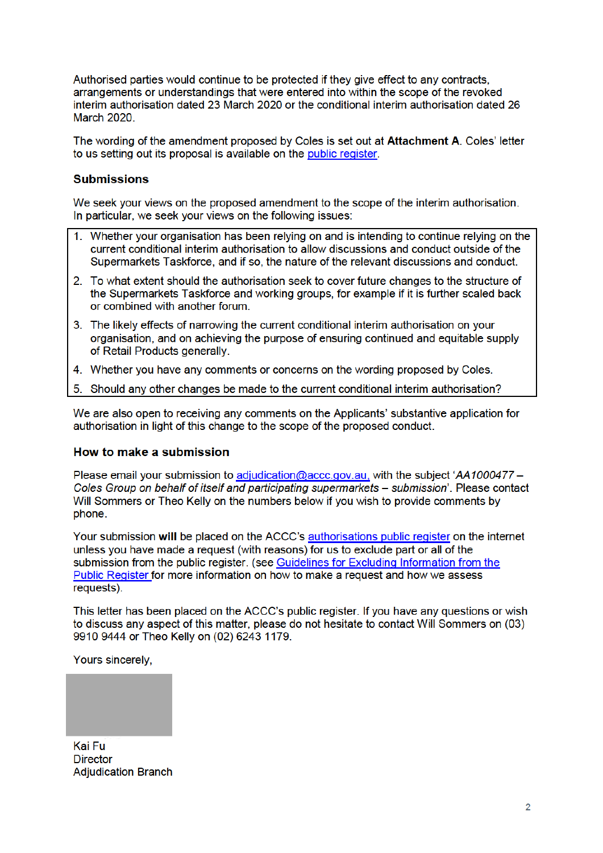Authorised parties would continue to be protected if they give effect to any contracts. arrangements or understandings that were entered into within the scope of the revoked interim authorisation dated 23 March 2020 or the conditional interim authorisation dated 26 **March 2020** 

The wording of the amendment proposed by Coles is set out at Attachment A. Coles' letter to us setting out its proposal is available on the public register.

### **Submissions**

We seek your views on the proposed amendment to the scope of the interim authorisation. In particular, we seek your views on the following issues:

- 1. Whether your organisation has been relying on and is intending to continue relying on the current conditional interim authorisation to allow discussions and conduct outside of the Supermarkets Taskforce, and if so, the nature of the relevant discussions and conduct.
- 2. To what extent should the authorisation seek to cover future changes to the structure of the Supermarkets Taskforce and working groups, for example if it is further scaled back or combined with another forum.
- 3. The likely effects of narrowing the current conditional interim authorisation on your organisation, and on achieving the purpose of ensuring continued and equitable supply of Retail Products generally.
- 4. Whether you have any comments or concerns on the wording proposed by Coles.
- 5. Should any other changes be made to the current conditional interim authorisation?

We are also open to receiving any comments on the Applicants' substantive application for authorisation in light of this change to the scope of the proposed conduct.

#### How to make a submission

Please email your submission to adjudication@accc.gov.au, with the subject 'AA1000477 -Coles Group on behalf of itself and participating supermarkets - submission'. Please contact Will Sommers or Theo Kelly on the numbers below if you wish to provide comments by phone.

Your submission will be placed on the ACCC's authorisations public register on the internet unless you have made a request (with reasons) for us to exclude part or all of the submission from the public register. (see Guidelines for Excluding Information from the Public Register for more information on how to make a request and how we assess requests).

This letter has been placed on the ACCC's public register. If you have any questions or wish to discuss any aspect of this matter, please do not hesitate to contact Will Sommers on (03) 9910 9444 or Theo Kelly on (02) 6243 1179.

Yours sincerely,

Kai Fu **Director Adjudication Branch**